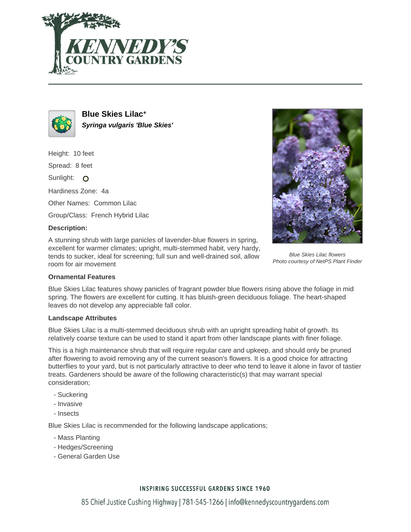



**Blue Skies Lilac**\* **Syringa vulgaris 'Blue Skies'**

Height: 10 feet

Spread: 8 feet

Sunlight: O

Hardiness Zone: 4a

Other Names: Common Lilac

Group/Class: French Hybrid Lilac

### **Description:**

A stunning shrub with large panicles of lavender-blue flowers in spring, excellent for warmer climates; upright, multi-stemmed habit, very hardy, tends to sucker, ideal for screening; full sun and well-drained soil, allow room for air movement



Blue Skies Lilac flowers Photo courtesy of NetPS Plant Finder

#### **Ornamental Features**

Blue Skies Lilac features showy panicles of fragrant powder blue flowers rising above the foliage in mid spring. The flowers are excellent for cutting. It has bluish-green deciduous foliage. The heart-shaped leaves do not develop any appreciable fall color.

#### **Landscape Attributes**

Blue Skies Lilac is a multi-stemmed deciduous shrub with an upright spreading habit of growth. Its relatively coarse texture can be used to stand it apart from other landscape plants with finer foliage.

This is a high maintenance shrub that will require regular care and upkeep, and should only be pruned after flowering to avoid removing any of the current season's flowers. It is a good choice for attracting butterflies to your yard, but is not particularly attractive to deer who tend to leave it alone in favor of tastier treats. Gardeners should be aware of the following characteristic(s) that may warrant special consideration;

- Suckering
- Invasive
- Insects

Blue Skies Lilac is recommended for the following landscape applications;

- Mass Planting
- Hedges/Screening
- General Garden Use

## **INSPIRING SUCCESSFUL GARDENS SINCE 1960**

85 Chief Justice Cushing Highway | 781-545-1266 | info@kennedyscountrygardens.com